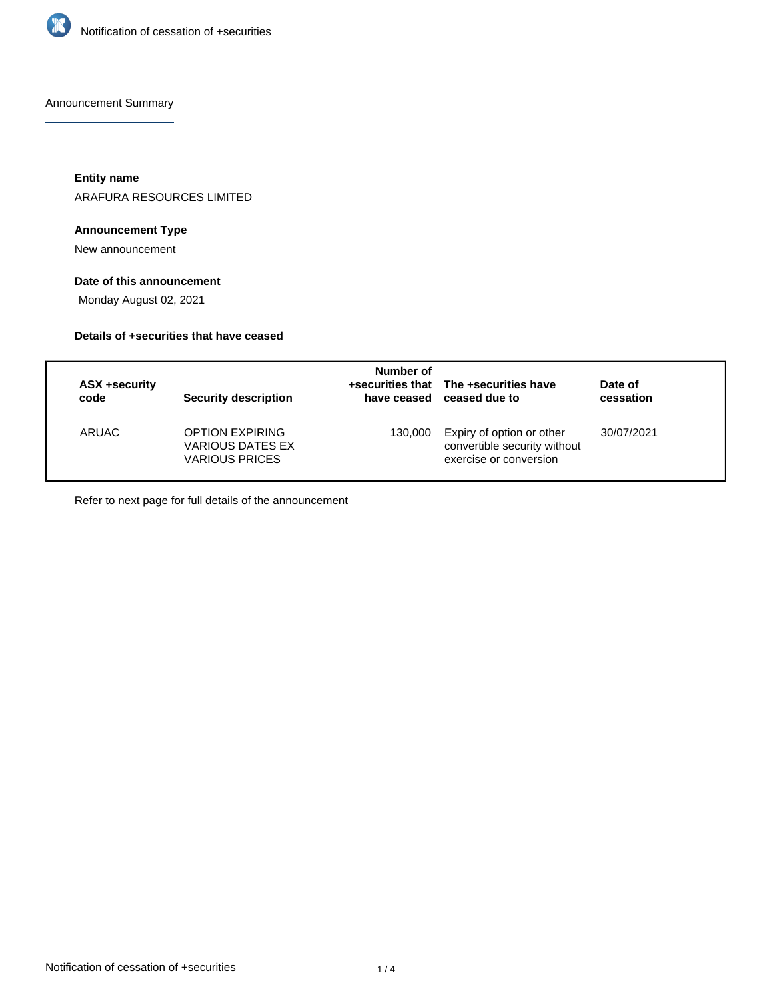

Announcement Summary

**Entity name**

ARAFURA RESOURCES LIMITED

## **Announcement Type**

New announcement

## **Date of this announcement**

Monday August 02, 2021

## **Details of +securities that have ceased**

| ASX +security<br>code | <b>Security description</b>                                                | Number of | +securities that The +securities have<br>have ceased ceased due to                  | Date of<br>cessation |
|-----------------------|----------------------------------------------------------------------------|-----------|-------------------------------------------------------------------------------------|----------------------|
| ARUAC                 | <b>OPTION EXPIRING</b><br><b>VARIOUS DATES EX</b><br><b>VARIOUS PRICES</b> | 130.000   | Expiry of option or other<br>convertible security without<br>exercise or conversion | 30/07/2021           |

Refer to next page for full details of the announcement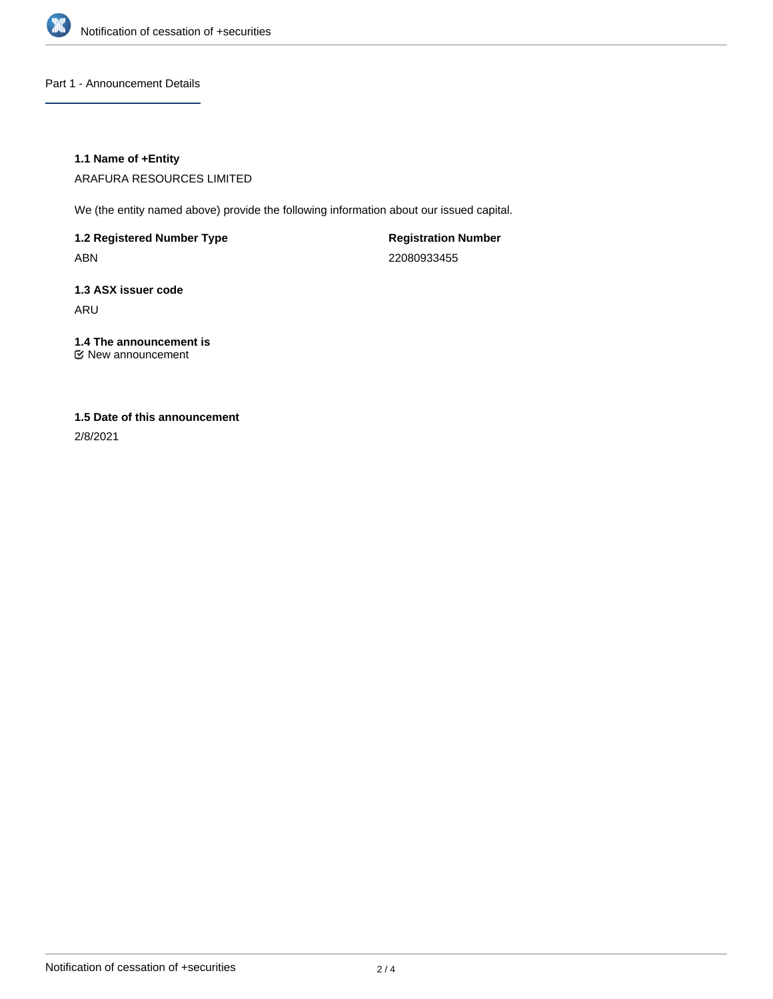

Part 1 - Announcement Details

### **1.1 Name of +Entity**

ARAFURA RESOURCES LIMITED

We (the entity named above) provide the following information about our issued capital.

**1.2 Registered Number Type** ABN

**Registration Number** 22080933455

**1.3 ASX issuer code** ARU

**1.4 The announcement is** New announcement

# **1.5 Date of this announcement**

2/8/2021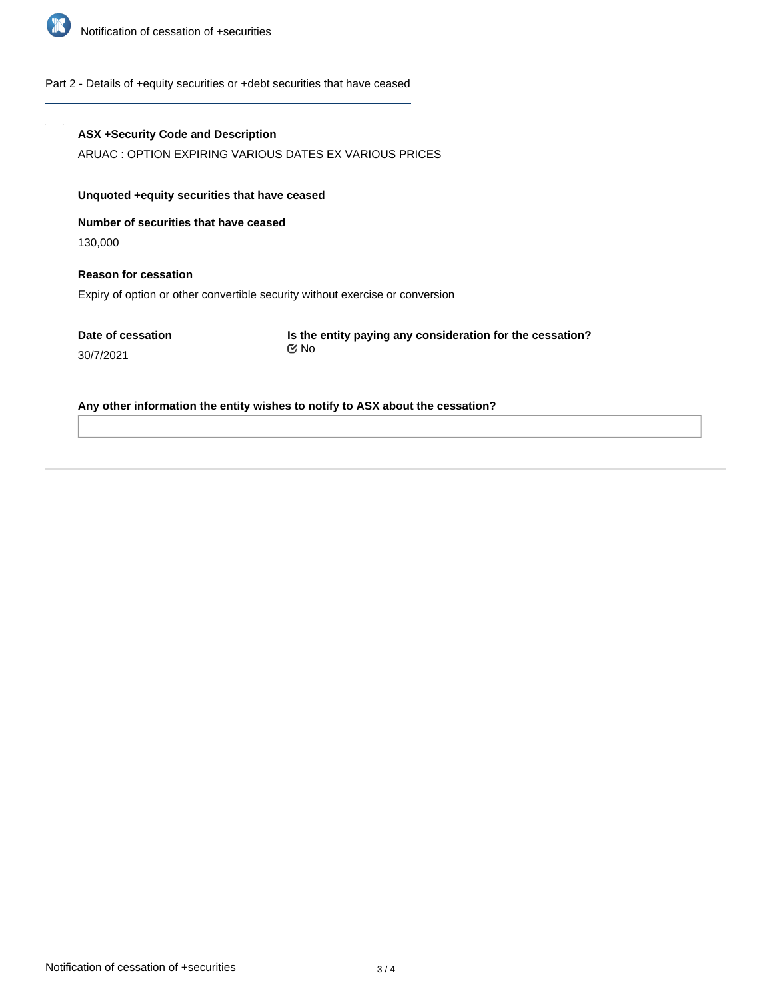

#### Part 2 - Details of +equity securities or +debt securities that have ceased

#### **ASX +Security Code and Description**

ARUAC : OPTION EXPIRING VARIOUS DATES EX VARIOUS PRICES

## **Unquoted +equity securities that have ceased**

**Number of securities that have ceased**

130,000

## **Reason for cessation** Expiry of option or other convertible security without exercise or conversion

**Date of cessation** 30/7/2021

**Is the entity paying any consideration for the cessation?** No

#### **Any other information the entity wishes to notify to ASX about the cessation?**